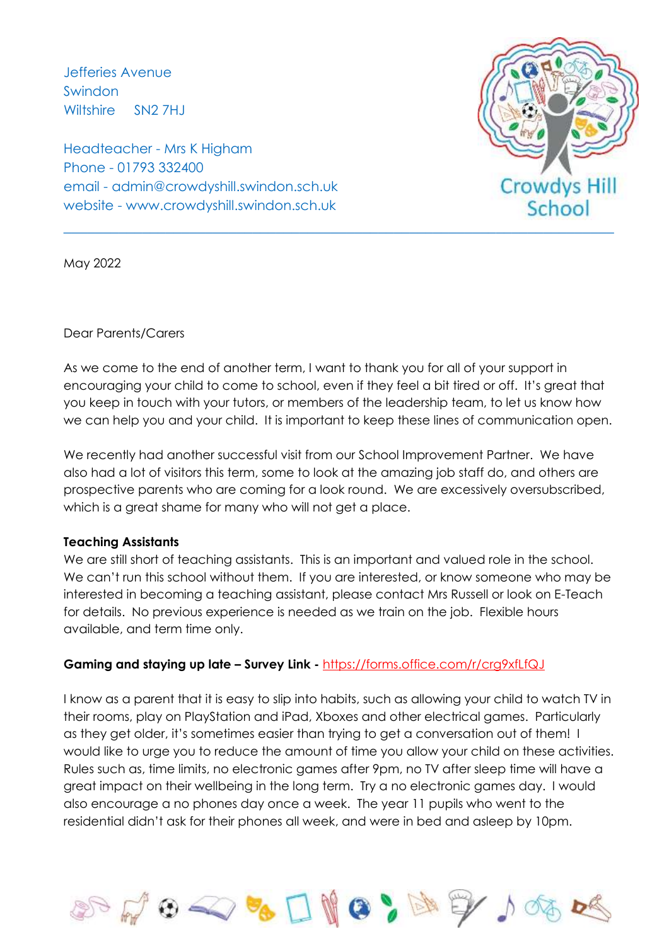Jefferies Avenue Swindon Wiltshire SN2 7HJ

Headteacher - Mrs K Higham Phone - 01793 332400 email - admin@crowdyshill.swindon.sch.uk website - www.crowdyshill.swindon.sch.uk



May 2022

## Dear Parents/Carers

As we come to the end of another term, I want to thank you for all of your support in encouraging your child to come to school, even if they feel a bit tired or off. It's great that you keep in touch with your tutors, or members of the leadership team, to let us know how we can help you and your child. It is important to keep these lines of communication open.

We recently had another successful visit from our School Improvement Partner. We have also had a lot of visitors this term, some to look at the amazing job staff do, and others are prospective parents who are coming for a look round. We are excessively oversubscribed, which is a great shame for many who will not get a place.

## **Teaching Assistants**

We are still short of teaching assistants. This is an important and valued role in the school. We can't run this school without them. If you are interested, or know someone who may be interested in becoming a teaching assistant, please contact Mrs Russell or look on E-Teach for details. No previous experience is needed as we train on the job. Flexible hours available, and term time only.

## **Gaming and staying up late – Survey Link -** <https://forms.office.com/r/crg9xfLfQJ>

I know as a parent that it is easy to slip into habits, such as allowing your child to watch TV in their rooms, play on PlayStation and iPad, Xboxes and other electrical games. Particularly as they get older, it's sometimes easier than trying to get a conversation out of them! I would like to urge you to reduce the amount of time you allow your child on these activities. Rules such as, time limits, no electronic games after 9pm, no TV after sleep time will have a great impact on their wellbeing in the long term. Try a no electronic games day. I would also encourage a no phones day once a week. The year 11 pupils who went to the residential didn't ask for their phones all week, and were in bed and asleep by 10pm.